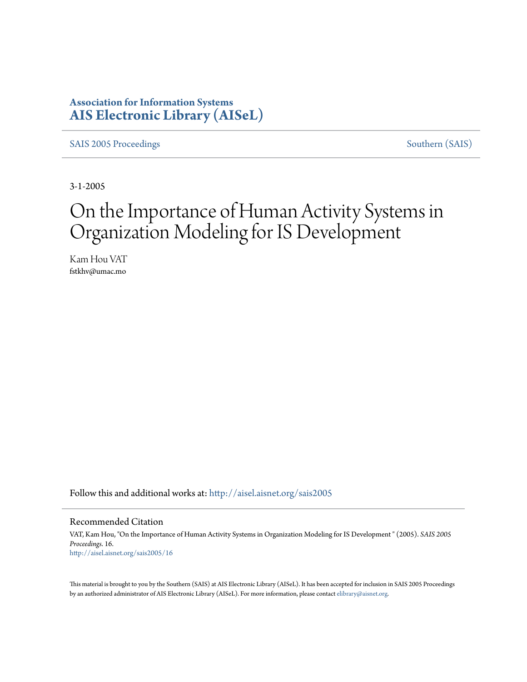## **Association for Information Systems [AIS Electronic Library \(AISeL\)](http://aisel.aisnet.org?utm_source=aisel.aisnet.org%2Fsais2005%2F16&utm_medium=PDF&utm_campaign=PDFCoverPages)**

[SAIS 2005 Proceedings](http://aisel.aisnet.org/sais2005?utm_source=aisel.aisnet.org%2Fsais2005%2F16&utm_medium=PDF&utm_campaign=PDFCoverPages) [Southern \(SAIS\)](http://aisel.aisnet.org/sais?utm_source=aisel.aisnet.org%2Fsais2005%2F16&utm_medium=PDF&utm_campaign=PDFCoverPages)

3-1-2005

# On the Importance of Human Activity Systems in Organization Modeling for IS Development

Kam Hou VAT fstkhv@umac.mo

Follow this and additional works at: [http://aisel.aisnet.org/sais2005](http://aisel.aisnet.org/sais2005?utm_source=aisel.aisnet.org%2Fsais2005%2F16&utm_medium=PDF&utm_campaign=PDFCoverPages)

#### Recommended Citation

VAT, Kam Hou, "On the Importance of Human Activity Systems in Organization Modeling for IS Development " (2005). *SAIS 2005 Proceedings*. 16. [http://aisel.aisnet.org/sais2005/16](http://aisel.aisnet.org/sais2005/16?utm_source=aisel.aisnet.org%2Fsais2005%2F16&utm_medium=PDF&utm_campaign=PDFCoverPages)

This material is brought to you by the Southern (SAIS) at AIS Electronic Library (AISeL). It has been accepted for inclusion in SAIS 2005 Proceedings by an authorized administrator of AIS Electronic Library (AISeL). For more information, please contact [elibrary@aisnet.org](mailto:elibrary@aisnet.org%3E).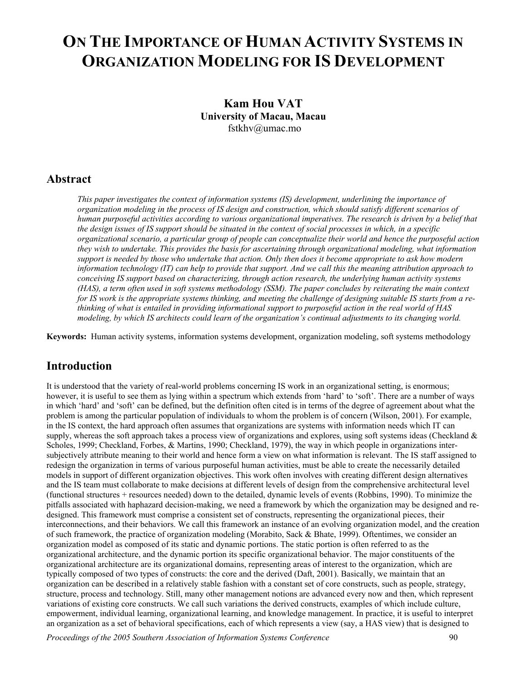## **ON THE IMPORTANCE OF HUMAN ACTIVITY SYSTEMS IN ORGANIZATION MODELING FOR IS DEVELOPMENT**

**Kam Hou VAT University of Macau, Macau**  fstkhv@umac.mo

### **Abstract**

*This paper investigates the context of information systems (IS) development, underlining the importance of organization modeling in the process of IS design and construction, which should satisfy different scenarios of human purposeful activities according to various organizational imperatives. The research is driven by a belief that the design issues of IS support should be situated in the context of social processes in which, in a specific organizational scenario, a particular group of people can conceptualize their world and hence the purposeful action they wish to undertake. This provides the basis for ascertaining through organizational modeling, what information support is needed by those who undertake that action. Only then does it become appropriate to ask how modern information technology (IT) can help to provide that support. And we call this the meaning attribution approach to conceiving IS support based on characterizing, through action research, the underlying human activity systems (HAS), a term often used in soft systems methodology (SSM). The paper concludes by reiterating the main context for IS work is the appropriate systems thinking, and meeting the challenge of designing suitable IS starts from a rethinking of what is entailed in providing informational support to purposeful action in the real world of HAS modeling, by which IS architects could learn of the organization's continual adjustments to its changing world.* 

**Keywords:** Human activity systems, information systems development, organization modeling, soft systems methodology

## **Introduction**

It is understood that the variety of real-world problems concerning IS work in an organizational setting, is enormous; however, it is useful to see them as lying within a spectrum which extends from 'hard' to 'soft'. There are a number of ways in which 'hard' and 'soft' can be defined, but the definition often cited is in terms of the degree of agreement about what the problem is among the particular population of individuals to whom the problem is of concern (Wilson, 2001). For example, in the IS context, the hard approach often assumes that organizations are systems with information needs which IT can supply, whereas the soft approach takes a process view of organizations and explores, using soft systems ideas (Checkland  $\&$ Scholes, 1999; Checkland, Forbes, & Martins, 1990; Checkland, 1979), the way in which people in organizations intersubjectively attribute meaning to their world and hence form a view on what information is relevant. The IS staff assigned to redesign the organization in terms of various purposeful human activities, must be able to create the necessarily detailed models in support of different organization objectives. This work often involves with creating different design alternatives and the IS team must collaborate to make decisions at different levels of design from the comprehensive architectural level (functional structures + resources needed) down to the detailed, dynamic levels of events (Robbins, 1990). To minimize the pitfalls associated with haphazard decision-making, we need a framework by which the organization may be designed and redesigned. This framework must comprise a consistent set of constructs, representing the organizational pieces, their interconnections, and their behaviors. We call this framework an instance of an evolving organization model, and the creation of such framework, the practice of organization modeling (Morabito, Sack & Bhate, 1999). Oftentimes, we consider an organization model as composed of its static and dynamic portions. The static portion is often referred to as the organizational architecture, and the dynamic portion its specific organizational behavior. The major constituents of the organizational architecture are its organizational domains, representing areas of interest to the organization, which are typically composed of two types of constructs: the core and the derived (Daft, 2001). Basically, we maintain that an organization can be described in a relatively stable fashion with a constant set of core constructs, such as people, strategy, structure, process and technology. Still, many other management notions are advanced every now and then, which represent variations of existing core constructs. We call such variations the derived constructs, examples of which include culture, empowerment, individual learning, organizational learning, and knowledge management. In practice, it is useful to interpret an organization as a set of behavioral specifications, each of which represents a view (say, a HAS view) that is designed to

*Proceedings of the 2005 Southern Association of Information Systems Conference* 90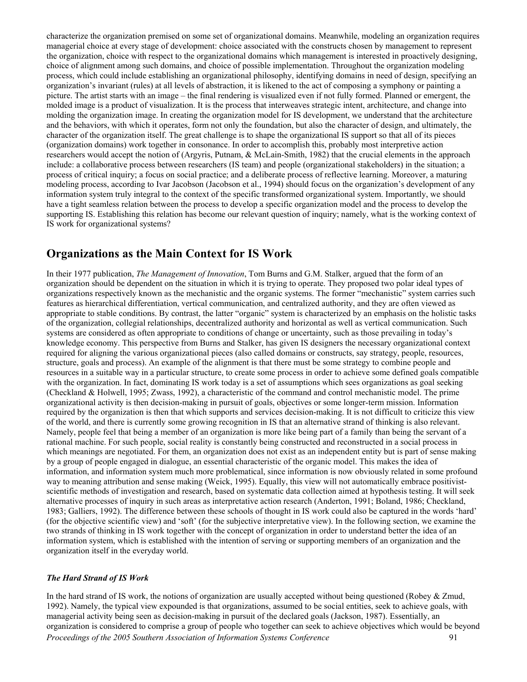characterize the organization premised on some set of organizational domains. Meanwhile, modeling an organization requires managerial choice at every stage of development: choice associated with the constructs chosen by management to represent the organization, choice with respect to the organizational domains which management is interested in proactively designing, choice of alignment among such domains, and choice of possible implementation. Throughout the organization modeling process, which could include establishing an organizational philosophy, identifying domains in need of design, specifying an organization's invariant (rules) at all levels of abstraction, it is likened to the act of composing a symphony or painting a picture. The artist starts with an image – the final rendering is visualized even if not fully formed. Planned or emergent, the molded image is a product of visualization. It is the process that interweaves strategic intent, architecture, and change into molding the organization image. In creating the organization model for IS development, we understand that the architecture and the behaviors, with which it operates, form not only the foundation, but also the character of design, and ultimately, the character of the organization itself. The great challenge is to shape the organizational IS support so that all of its pieces (organization domains) work together in consonance. In order to accomplish this, probably most interpretive action researchers would accept the notion of (Argyris, Putnam, & McLain-Smith, 1982) that the crucial elements in the approach include: a collaborative process between researchers (IS team) and people (organizational stakeholders) in the situation; a process of critical inquiry; a focus on social practice; and a deliberate process of reflective learning. Moreover, a maturing modeling process, according to Ivar Jacobson (Jacobson et al., 1994) should focus on the organization's development of any information system truly integral to the context of the specific transformed organizational system. Importantly, we should have a tight seamless relation between the process to develop a specific organization model and the process to develop the supporting IS. Establishing this relation has become our relevant question of inquiry; namely, what is the working context of IS work for organizational systems?

## **Organizations as the Main Context for IS Work**

In their 1977 publication, *The Management of Innovation*, Tom Burns and G.M. Stalker, argued that the form of an organization should be dependent on the situation in which it is trying to operate. They proposed two polar ideal types of organizations respectively known as the mechanistic and the organic systems. The former "mechanistic" system carries such features as hierarchical differentiation, vertical communication, and centralized authority, and they are often viewed as appropriate to stable conditions. By contrast, the latter "organic" system is characterized by an emphasis on the holistic tasks of the organization, collegial relationships, decentralized authority and horizontal as well as vertical communication. Such systems are considered as often appropriate to conditions of change or uncertainty, such as those prevailing in today's knowledge economy. This perspective from Burns and Stalker, has given IS designers the necessary organizational context required for aligning the various organizational pieces (also called domains or constructs, say strategy, people, resources, structure, goals and process). An example of the alignment is that there must be some strategy to combine people and resources in a suitable way in a particular structure, to create some process in order to achieve some defined goals compatible with the organization. In fact, dominating IS work today is a set of assumptions which sees organizations as goal seeking (Checkland & Holwell, 1995; Zwass, 1992), a characteristic of the command and control mechanistic model. The prime organizational activity is then decision-making in pursuit of goals, objectives or some longer-term mission. Information required by the organization is then that which supports and services decision-making. It is not difficult to criticize this view of the world, and there is currently some growing recognition in IS that an alternative strand of thinking is also relevant. Namely, people feel that being a member of an organization is more like being part of a family than being the servant of a rational machine. For such people, social reality is constantly being constructed and reconstructed in a social process in which meanings are negotiated. For them, an organization does not exist as an independent entity but is part of sense making by a group of people engaged in dialogue, an essential characteristic of the organic model. This makes the idea of information, and information system much more problematical, since information is now obviously related in some profound way to meaning attribution and sense making (Weick, 1995). Equally, this view will not automatically embrace positivistscientific methods of investigation and research, based on systematic data collection aimed at hypothesis testing. It will seek alternative processes of inquiry in such areas as interpretative action research (Anderton, 1991; Boland, 1986; Checkland, 1983; Galliers, 1992). The difference between these schools of thought in IS work could also be captured in the words 'hard' (for the objective scientific view) and 'soft' (for the subjective interpretative view). In the following section, we examine the two strands of thinking in IS work together with the concept of organization in order to understand better the idea of an information system, which is established with the intention of serving or supporting members of an organization and the organization itself in the everyday world.

#### *The Hard Strand of IS Work*

In the hard strand of IS work, the notions of organization are usually accepted without being questioned (Robey & Zmud, 1992). Namely, the typical view expounded is that organizations, assumed to be social entities, seek to achieve goals, with managerial activity being seen as decision-making in pursuit of the declared goals (Jackson, 1987). Essentially, an organization is considered to comprise a group of people who together can seek to achieve objectives which would be beyond *Proceedings of the 2005 Southern Association of Information Systems Conference* 91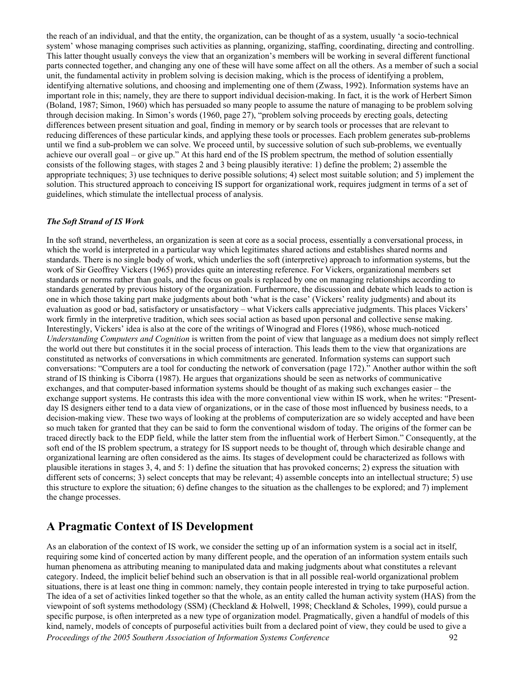the reach of an individual, and that the entity, the organization, can be thought of as a system, usually 'a socio-technical system' whose managing comprises such activities as planning, organizing, staffing, coordinating, directing and controlling. This latter thought usually conveys the view that an organization's members will be working in several different functional parts connected together, and changing any one of these will have some affect on all the others. As a member of such a social unit, the fundamental activity in problem solving is decision making, which is the process of identifying a problem, identifying alternative solutions, and choosing and implementing one of them (Zwass, 1992). Information systems have an important role in this; namely, they are there to support individual decision-making. In fact, it is the work of Herbert Simon (Boland, 1987; Simon, 1960) which has persuaded so many people to assume the nature of managing to be problem solving through decision making. In Simon's words (1960, page 27), "problem solving proceeds by erecting goals, detecting differences between present situation and goal, finding in memory or by search tools or processes that are relevant to reducing differences of these particular kinds, and applying these tools or processes. Each problem generates sub-problems until we find a sub-problem we can solve. We proceed until, by successive solution of such sub-problems, we eventually achieve our overall goal – or give up." At this hard end of the IS problem spectrum, the method of solution essentially consists of the following stages, with stages 2 and 3 being plausibly iterative: 1) define the problem; 2) assemble the appropriate techniques; 3) use techniques to derive possible solutions; 4) select most suitable solution; and 5) implement the solution. This structured approach to conceiving IS support for organizational work, requires judgment in terms of a set of guidelines, which stimulate the intellectual process of analysis.

#### *The Soft Strand of IS Work*

In the soft strand, nevertheless, an organization is seen at core as a social process, essentially a conversational process, in which the world is interpreted in a particular way which legitimates shared actions and establishes shared norms and standards. There is no single body of work, which underlies the soft (interpretive) approach to information systems, but the work of Sir Geoffrey Vickers (1965) provides quite an interesting reference. For Vickers, organizational members set standards or norms rather than goals, and the focus on goals is replaced by one on managing relationships according to standards generated by previous history of the organization. Furthermore, the discussion and debate which leads to action is one in which those taking part make judgments about both 'what is the case' (Vickers' reality judgments) and about its evaluation as good or bad, satisfactory or unsatisfactory – what Vickers calls appreciative judgments. This places Vickers' work firmly in the interpretive tradition, which sees social action as based upon personal and collective sense making. Interestingly, Vickers' idea is also at the core of the writings of Winograd and Flores (1986), whose much-noticed *Understanding Computers and Cognition* is written from the point of view that language as a medium does not simply reflect the world out there but constitutes it in the social process of interaction. This leads them to the view that organizations are constituted as networks of conversations in which commitments are generated. Information systems can support such conversations: "Computers are a tool for conducting the network of conversation (page 172)." Another author within the soft strand of IS thinking is Ciborra (1987). He argues that organizations should be seen as networks of communicative exchanges, and that computer-based information systems should be thought of as making such exchanges easier – the exchange support systems. He contrasts this idea with the more conventional view within IS work, when he writes: "Presentday IS designers either tend to a data view of organizations, or in the case of those most influenced by business needs, to a decision-making view. These two ways of looking at the problems of computerization are so widely accepted and have been so much taken for granted that they can be said to form the conventional wisdom of today. The origins of the former can be traced directly back to the EDP field, while the latter stem from the influential work of Herbert Simon." Consequently, at the soft end of the IS problem spectrum, a strategy for IS support needs to be thought of, through which desirable change and organizational learning are often considered as the aims. Its stages of development could be characterized as follows with plausible iterations in stages 3, 4, and 5: 1) define the situation that has provoked concerns; 2) express the situation with different sets of concerns; 3) select concepts that may be relevant; 4) assemble concepts into an intellectual structure; 5) use this structure to explore the situation; 6) define changes to the situation as the challenges to be explored; and 7) implement the change processes.

## **A Pragmatic Context of IS Development**

As an elaboration of the context of IS work, we consider the setting up of an information system is a social act in itself, requiring some kind of concerted action by many different people, and the operation of an information system entails such human phenomena as attributing meaning to manipulated data and making judgments about what constitutes a relevant category. Indeed, the implicit belief behind such an observation is that in all possible real-world organizational problem situations, there is at least one thing in common: namely, they contain people interested in trying to take purposeful action. The idea of a set of activities linked together so that the whole, as an entity called the human activity system (HAS) from the viewpoint of soft systems methodology (SSM) (Checkland & Holwell, 1998; Checkland & Scholes, 1999), could pursue a specific purpose, is often interpreted as a new type of organization model. Pragmatically, given a handful of models of this kind, namely, models of concepts of purposeful activities built from a declared point of view, they could be used to give a *Proceedings of the 2005 Southern Association of Information Systems Conference* 92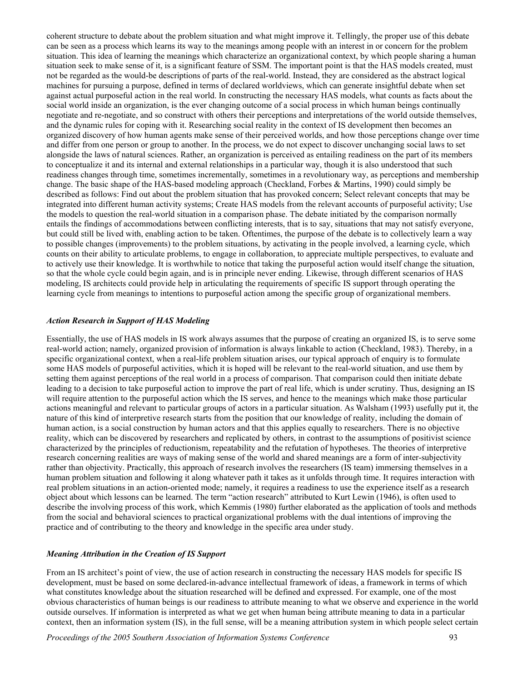coherent structure to debate about the problem situation and what might improve it. Tellingly, the proper use of this debate can be seen as a process which learns its way to the meanings among people with an interest in or concern for the problem situation. This idea of learning the meanings which characterize an organizational context, by which people sharing a human situation seek to make sense of it, is a significant feature of SSM. The important point is that the HAS models created, must not be regarded as the would-be descriptions of parts of the real-world. Instead, they are considered as the abstract logical machines for pursuing a purpose, defined in terms of declared worldviews, which can generate insightful debate when set against actual purposeful action in the real world. In constructing the necessary HAS models, what counts as facts about the social world inside an organization, is the ever changing outcome of a social process in which human beings continually negotiate and re-negotiate, and so construct with others their perceptions and interpretations of the world outside themselves, and the dynamic rules for coping with it. Researching social reality in the context of IS development then becomes an organized discovery of how human agents make sense of their perceived worlds, and how those perceptions change over time and differ from one person or group to another. In the process, we do not expect to discover unchanging social laws to set alongside the laws of natural sciences. Rather, an organization is perceived as entailing readiness on the part of its members to conceptualize it and its internal and external relationships in a particular way, though it is also understood that such readiness changes through time, sometimes incrementally, sometimes in a revolutionary way, as perceptions and membership change. The basic shape of the HAS-based modeling approach (Checkland, Forbes & Martins, 1990) could simply be described as follows: Find out about the problem situation that has provoked concern; Select relevant concepts that may be integrated into different human activity systems; Create HAS models from the relevant accounts of purposeful activity; Use the models to question the real-world situation in a comparison phase. The debate initiated by the comparison normally entails the findings of accommodations between conflicting interests, that is to say, situations that may not satisfy everyone, but could still be lived with, enabling action to be taken. Oftentimes, the purpose of the debate is to collectively learn a way to possible changes (improvements) to the problem situations, by activating in the people involved, a learning cycle, which counts on their ability to articulate problems, to engage in collaboration, to appreciate multiple perspectives, to evaluate and to actively use their knowledge. It is worthwhile to notice that taking the purposeful action would itself change the situation, so that the whole cycle could begin again, and is in principle never ending. Likewise, through different scenarios of HAS modeling, IS architects could provide help in articulating the requirements of specific IS support through operating the learning cycle from meanings to intentions to purposeful action among the specific group of organizational members.

#### *Action Research in Support of HAS Modeling*

Essentially, the use of HAS models in IS work always assumes that the purpose of creating an organized IS, is to serve some real-world action; namely, organized provision of information is always linkable to action (Checkland, 1983). Thereby, in a specific organizational context, when a real-life problem situation arises, our typical approach of enquiry is to formulate some HAS models of purposeful activities, which it is hoped will be relevant to the real-world situation, and use them by setting them against perceptions of the real world in a process of comparison. That comparison could then initiate debate leading to a decision to take purposeful action to improve the part of real life, which is under scrutiny. Thus, designing an IS will require attention to the purposeful action which the IS serves, and hence to the meanings which make those particular actions meaningful and relevant to particular groups of actors in a particular situation. As Walsham (1993) usefully put it, the nature of this kind of interpretive research starts from the position that our knowledge of reality, including the domain of human action, is a social construction by human actors and that this applies equally to researchers. There is no objective reality, which can be discovered by researchers and replicated by others, in contrast to the assumptions of positivist science characterized by the principles of reductionism, repeatability and the refutation of hypotheses. The theories of interpretive research concerning realities are ways of making sense of the world and shared meanings are a form of inter-subjectivity rather than objectivity. Practically, this approach of research involves the researchers (IS team) immersing themselves in a human problem situation and following it along whatever path it takes as it unfolds through time. It requires interaction with real problem situations in an action-oriented mode; namely, it requires a readiness to use the experience itself as a research object about which lessons can be learned. The term "action research" attributed to Kurt Lewin (1946), is often used to describe the involving process of this work, which Kemmis (1980) further elaborated as the application of tools and methods from the social and behavioral sciences to practical organizational problems with the dual intentions of improving the practice and of contributing to the theory and knowledge in the specific area under study.

#### *Meaning Attribution in the Creation of IS Support*

From an IS architect's point of view, the use of action research in constructing the necessary HAS models for specific IS development, must be based on some declared-in-advance intellectual framework of ideas, a framework in terms of which what constitutes knowledge about the situation researched will be defined and expressed. For example, one of the most obvious characteristics of human beings is our readiness to attribute meaning to what we observe and experience in the world outside ourselves. If information is interpreted as what we get when human being attribute meaning to data in a particular context, then an information system (IS), in the full sense, will be a meaning attribution system in which people select certain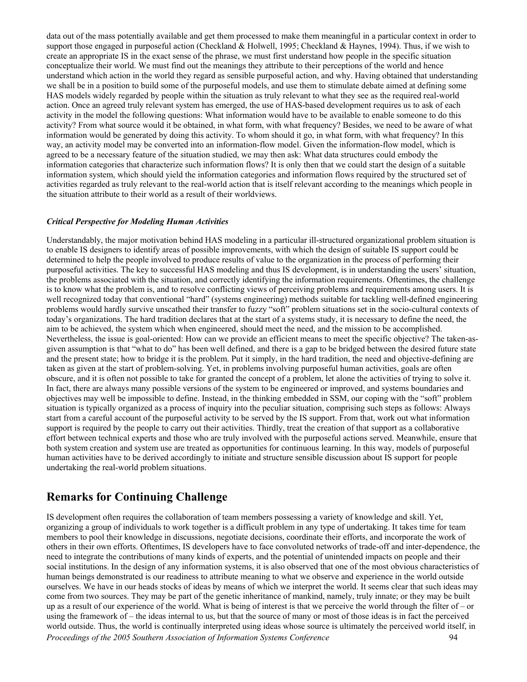data out of the mass potentially available and get them processed to make them meaningful in a particular context in order to support those engaged in purposeful action (Checkland & Holwell, 1995; Checkland & Haynes, 1994). Thus, if we wish to create an appropriate IS in the exact sense of the phrase, we must first understand how people in the specific situation conceptualize their world. We must find out the meanings they attribute to their perceptions of the world and hence understand which action in the world they regard as sensible purposeful action, and why. Having obtained that understanding we shall be in a position to build some of the purposeful models, and use them to stimulate debate aimed at defining some HAS models widely regarded by people within the situation as truly relevant to what they see as the required real-world action. Once an agreed truly relevant system has emerged, the use of HAS-based development requires us to ask of each activity in the model the following questions: What information would have to be available to enable someone to do this activity? From what source would it be obtained, in what form, with what frequency? Besides, we need to be aware of what information would be generated by doing this activity. To whom should it go, in what form, with what frequency? In this way, an activity model may be converted into an information-flow model. Given the information-flow model, which is agreed to be a necessary feature of the situation studied, we may then ask: What data structures could embody the information categories that characterize such information flows? It is only then that we could start the design of a suitable information system, which should yield the information categories and information flows required by the structured set of activities regarded as truly relevant to the real-world action that is itself relevant according to the meanings which people in the situation attribute to their world as a result of their worldviews.

#### *Critical Perspective for Modeling Human Activities*

Understandably, the major motivation behind HAS modeling in a particular ill-structured organizational problem situation is to enable IS designers to identify areas of possible improvements, with which the design of suitable IS support could be determined to help the people involved to produce results of value to the organization in the process of performing their purposeful activities. The key to successful HAS modeling and thus IS development, is in understanding the users' situation, the problems associated with the situation, and correctly identifying the information requirements. Oftentimes, the challenge is to know what the problem is, and to resolve conflicting views of perceiving problems and requirements among users. It is well recognized today that conventional "hard" (systems engineering) methods suitable for tackling well-defined engineering problems would hardly survive unscathed their transfer to fuzzy "soft" problem situations set in the socio-cultural contexts of today's organizations. The hard tradition declares that at the start of a systems study, it is necessary to define the need, the aim to be achieved, the system which when engineered, should meet the need, and the mission to be accomplished. Nevertheless, the issue is goal-oriented: How can we provide an efficient means to meet the specific objective? The taken-asgiven assumption is that "what to do" has been well defined, and there is a gap to be bridged between the desired future state and the present state; how to bridge it is the problem. Put it simply, in the hard tradition, the need and objective-defining are taken as given at the start of problem-solving. Yet, in problems involving purposeful human activities, goals are often obscure, and it is often not possible to take for granted the concept of a problem, let alone the activities of trying to solve it. In fact, there are always many possible versions of the system to be engineered or improved, and systems boundaries and objectives may well be impossible to define. Instead, in the thinking embedded in SSM, our coping with the "soft" problem situation is typically organized as a process of inquiry into the peculiar situation, comprising such steps as follows: Always start from a careful account of the purposeful activity to be served by the IS support. From that, work out what information support is required by the people to carry out their activities. Thirdly, treat the creation of that support as a collaborative effort between technical experts and those who are truly involved with the purposeful actions served. Meanwhile, ensure that both system creation and system use are treated as opportunities for continuous learning. In this way, models of purposeful human activities have to be derived accordingly to initiate and structure sensible discussion about IS support for people undertaking the real-world problem situations.

## **Remarks for Continuing Challenge**

IS development often requires the collaboration of team members possessing a variety of knowledge and skill. Yet, organizing a group of individuals to work together is a difficult problem in any type of undertaking. It takes time for team members to pool their knowledge in discussions, negotiate decisions, coordinate their efforts, and incorporate the work of others in their own efforts. Oftentimes, IS developers have to face convoluted networks of trade-off and inter-dependence, the need to integrate the contributions of many kinds of experts, and the potential of unintended impacts on people and their social institutions. In the design of any information systems, it is also observed that one of the most obvious characteristics of human beings demonstrated is our readiness to attribute meaning to what we observe and experience in the world outside ourselves. We have in our heads stocks of ideas by means of which we interpret the world. It seems clear that such ideas may come from two sources. They may be part of the genetic inheritance of mankind, namely, truly innate; or they may be built up as a result of our experience of the world. What is being of interest is that we perceive the world through the filter of – or using the framework of – the ideas internal to us, but that the source of many or most of those ideas is in fact the perceived world outside. Thus, the world is continually interpreted using ideas whose source is ultimately the perceived world itself, in *Proceedings of the 2005 Southern Association of Information Systems Conference* 94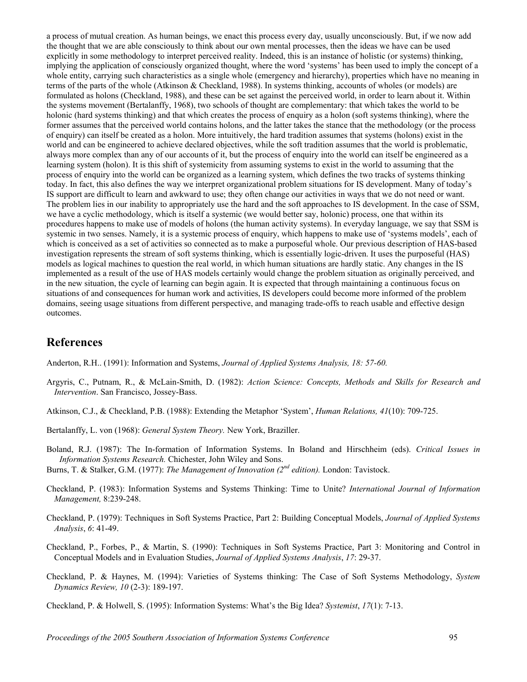a process of mutual creation. As human beings, we enact this process every day, usually unconsciously. But, if we now add the thought that we are able consciously to think about our own mental processes, then the ideas we have can be used explicitly in some methodology to interpret perceived reality. Indeed, this is an instance of holistic (or systems) thinking, implying the application of consciously organized thought, where the word 'systems' has been used to imply the concept of a whole entity, carrying such characteristics as a single whole (emergency and hierarchy), properties which have no meaning in terms of the parts of the whole (Atkinson & Checkland, 1988). In systems thinking, accounts of wholes (or models) are formulated as holons (Checkland, 1988), and these can be set against the perceived world, in order to learn about it. Within the systems movement (Bertalanffy, 1968), two schools of thought are complementary: that which takes the world to be holonic (hard systems thinking) and that which creates the process of enquiry as a holon (soft systems thinking), where the former assumes that the perceived world contains holons, and the latter takes the stance that the methodology (or the process of enquiry) can itself be created as a holon. More intuitively, the hard tradition assumes that systems (holons) exist in the world and can be engineered to achieve declared objectives, while the soft tradition assumes that the world is problematic, always more complex than any of our accounts of it, but the process of enquiry into the world can itself be engineered as a learning system (holon). It is this shift of systemicity from assuming systems to exist in the world to assuming that the process of enquiry into the world can be organized as a learning system, which defines the two tracks of systems thinking today. In fact, this also defines the way we interpret organizational problem situations for IS development. Many of today's IS support are difficult to learn and awkward to use; they often change our activities in ways that we do not need or want. The problem lies in our inability to appropriately use the hard and the soft approaches to IS development. In the case of SSM, we have a cyclic methodology, which is itself a systemic (we would better say, holonic) process, one that within its procedures happens to make use of models of holons (the human activity systems). In everyday language, we say that SSM is systemic in two senses. Namely, it is a systemic process of enquiry, which happens to make use of 'systems models', each of which is conceived as a set of activities so connected as to make a purposeful whole. Our previous description of HAS-based investigation represents the stream of soft systems thinking, which is essentially logic-driven. It uses the purposeful (HAS) models as logical machines to question the real world, in which human situations are hardly static. Any changes in the IS implemented as a result of the use of HAS models certainly would change the problem situation as originally perceived, and in the new situation, the cycle of learning can begin again. It is expected that through maintaining a continuous focus on situations of and consequences for human work and activities, IS developers could become more informed of the problem domains, seeing usage situations from different perspective, and managing trade-offs to reach usable and effective design outcomes.

## **References**

Anderton, R.H.. (1991): Information and Systems, *Journal of Applied Systems Analysis, 18: 57-60.*

- Argyris, C., Putnam, R., & McLain-Smith, D. (1982): *Action Science: Concepts, Methods and Skills for Research and Intervention*. San Francisco, Jossey-Bass.
- Atkinson, C.J., & Checkland, P.B. (1988): Extending the Metaphor 'System', *Human Relations, 41*(10): 709-725.
- Bertalanffy, L. von (1968): *General System Theory.* New York, Braziller.
- Boland, R.J. (1987): The In-formation of Information Systems. In Boland and Hirschheim (eds). *Critical Issues in Information Systems Research.* Chichester, John Wiley and Sons.
- Burns, T. & Stalker, G.M. (1977): *The Management of Innovation (2nd edition).* London: Tavistock.
- Checkland, P. (1983): Information Systems and Systems Thinking: Time to Unite? *International Journal of Information Management,* 8:239-248.
- Checkland, P. (1979): Techniques in Soft Systems Practice, Part 2: Building Conceptual Models, *Journal of Applied Systems Analysis*, *6*: 41-49.
- Checkland, P., Forbes, P., & Martin, S. (1990): Techniques in Soft Systems Practice, Part 3: Monitoring and Control in Conceptual Models and in Evaluation Studies, *Journal of Applied Systems Analysis*, *17*: 29-37.
- Checkland, P. & Haynes, M. (1994): Varieties of Systems thinking: The Case of Soft Systems Methodology, *System Dynamics Review, 10* (2-3): 189-197.
- Checkland, P. & Holwell, S. (1995): Information Systems: What's the Big Idea? *Systemist*, *17*(1): 7-13.